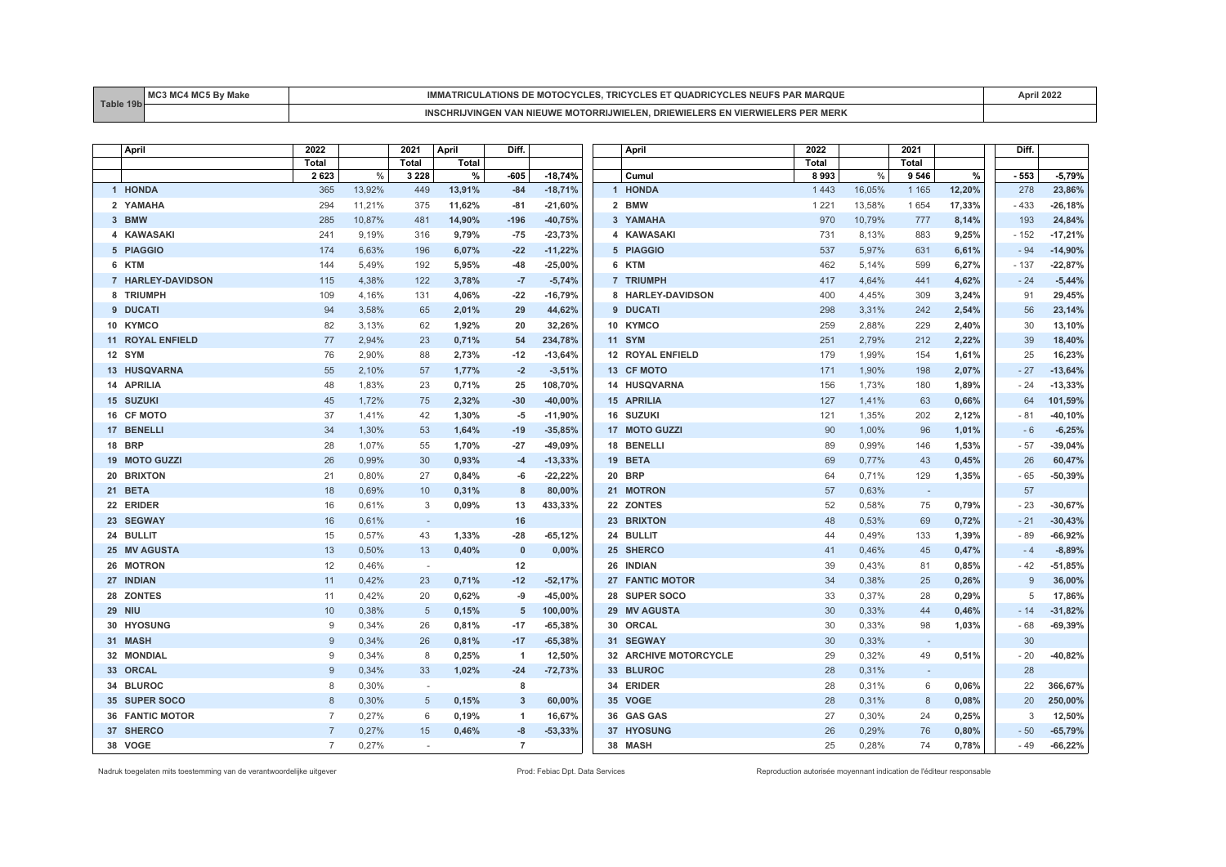| T <sub>0</sub> | <b>BAC</b> | <b>AR MARQUE</b><br>ES NEUFS<br>.<br>MOTO(<br>A HUNS DE<br>. ۲ ۱. ۱<br>$\mathbf{r}$ . The set of $\mathbf{r}$ | -2011 |
|----------------|------------|---------------------------------------------------------------------------------------------------------------|-------|
|                |            | -DRE<br>`''''KR.<br>IN 155<br>cuwr<br>MERR<br>- 131<br>в.                                                     |       |

| April                   | 2022           |        | 2021                     | April  | Diff.          |           | April                   | 2022    |        | 2021    |        | Diff.  |           |
|-------------------------|----------------|--------|--------------------------|--------|----------------|-----------|-------------------------|---------|--------|---------|--------|--------|-----------|
|                         | Total          |        | Total                    | Total  |                |           |                         | Total   |        | Total   |        |        |           |
|                         | 2623           | $\%$   | 3 2 2 8                  | $\%$   | -605           | $-18,74%$ | Cumul                   | 8993    | $\%$   | 9 5 4 6 | %      | $-553$ | $-5,79%$  |
| 1 HONDA                 | 365            | 13,92% | 449                      | 13,91% | $-84$          | $-18,71%$ | 1 HONDA                 | 1 4 4 3 | 16,05% | 1 1 6 5 | 12,20% | 278    | 23,86%    |
| 2 YAMAHA                | 294            | 11,21% | 375                      | 11,62% | $-81$          | $-21,60%$ | 2 BMW                   | 1 2 2 1 | 13,58% | 1 6 5 4 | 17,33% | $-433$ | $-26,18%$ |
| 3 BMW                   | 285            | 10,87% | 481                      | 14.90% | $-196$         | $-40,75%$ | 3 YAMAHA                | 970     | 10.79% | 777     | 8,14%  | 193    | 24,84%    |
| 4 KAWASAKI              | 241            | 9,19%  | 316                      | 9,79%  | $-75$          | $-23,73%$ | 4 KAWASAKI              | 731     | 8,13%  | 883     | 9,25%  | $-152$ | $-17,21%$ |
| 5 PIAGGIO               | 174            | 6,63%  | 196                      | 6,07%  | $-22$          | $-11,22%$ | 5 PIAGGIO               | 537     | 5,97%  | 631     | 6,61%  | $-94$  | $-14,90%$ |
| 6 KTM                   | 144            | 5,49%  | 192                      | 5,95%  | $-48$          | $-25,00%$ | 6 KTM                   | 462     | 5,14%  | 599     | 6,27%  | $-137$ | $-22,87%$ |
| 7 HARLEY-DAVIDSON       | 115            | 4,38%  | 122                      | 3,78%  | $-7$           | $-5,74%$  | 7 TRIUMPH               | 417     | 4,64%  | 441     | 4,62%  | $-24$  | $-5,44%$  |
| 8 TRIUMPH               | 109            | 4,16%  | 131                      | 4,06%  | $-22$          | $-16,79%$ | 8 HARLEY-DAVIDSON       | 400     | 4,45%  | 309     | 3,24%  | 91     | 29,45%    |
| 9 DUCATI                | 94             | 3.58%  | 65                       | 2,01%  | 29             | 44,62%    | 9 DUCATI                | 298     | 3,31%  | 242     | 2,54%  | 56     | 23,14%    |
| 10 KYMCO                | 82             | 3,13%  | 62                       | 1,92%  | 20             | 32,26%    | 10 KYMCO                | 259     | 2,88%  | 229     | 2,40%  | 30     | 13,10%    |
| <b>11 ROYAL ENFIELD</b> | 77             | 2,94%  | 23                       | 0,71%  | 54             | 234,78%   | <b>11 SYM</b>           | 251     | 2,79%  | 212     | 2,22%  | 39     | 18,40%    |
| 12 SYM                  | 76             | 2,90%  | 88                       | 2,73%  | $-12$          | $-13,64%$ | <b>12 ROYAL ENFIELD</b> | 179     | 1,99%  | 154     | 1,61%  | 25     | 16,23%    |
| 13 HUSQVARNA            | 55             | 2,10%  | 57                       | 1,77%  | $-2$           | $-3,51%$  | 13 CF MOTO              | 171     | 1,90%  | 198     | 2,07%  | $-27$  | $-13,64%$ |
| 14 APRILIA              | 48             | 1,83%  | 23                       | 0,71%  | 25             | 108,70%   | 14 HUSQVARNA            | 156     | 1,73%  | 180     | 1,89%  | $-24$  | $-13,33%$ |
| 15 SUZUKI               | 45             | 1.72%  | 75                       | 2,32%  | $-30$          | $-40,00%$ | <b>15 APRILIA</b>       | 127     | 1,41%  | 63      | 0,66%  | 64     | 101,59%   |
| 16 CF MOTO              | 37             | 1,41%  | 42                       | 1,30%  | -5             | $-11,90%$ | 16 SUZUKI               | 121     | 1,35%  | 202     | 2,12%  | $-81$  | $-40,10%$ |
| 17 BENELLI              | 34             | 1,30%  | 53                       | 1,64%  | $-19$          | $-35,85%$ | 17 MOTO GUZZI           | 90      | 1,00%  | 96      | 1,01%  | $-6$   | $-6,25%$  |
| <b>18 BRP</b>           | 28             | 1,07%  | 55                       | 1,70%  | $-27$          | $-49,09%$ | 18 BENELLI              | 89      | 0,99%  | 146     | 1,53%  | $-57$  | $-39,04%$ |
| 19 MOTO GUZZI           | 26             | 0,99%  | 30                       | 0,93%  | $-4$           | $-13,33%$ | 19 BETA                 | 69      | 0,77%  | 43      | 0,45%  | 26     | 60,47%    |
| 20 BRIXTON              | 21             | 0,80%  | 27                       | 0,84%  | -6             | $-22,22%$ | <b>20 BRP</b>           | 64      | 0,71%  | 129     | 1,35%  | - 65   | $-50,39%$ |
| 21 BETA                 | 18             | 0.69%  | 10                       | 0,31%  | 8              | 80,00%    | 21 MOTRON               | 57      | 0.63%  | $\sim$  |        | 57     |           |
| 22 ERIDER               | 16             | 0,61%  | 3                        | 0,09%  | 13             | 433,33%   | 22 ZONTES               | 52      | 0,58%  | 75      | 0,79%  | $-23$  | $-30,67%$ |
| 23 SEGWAY               | 16             | 0,61%  | $\overline{\phantom{a}}$ |        | 16             |           | 23 BRIXTON              | 48      | 0,53%  | 69      | 0,72%  | $-21$  | $-30,43%$ |
| 24 BULLIT               | 15             | 0,57%  | 43                       | 1,33%  | $-28$          | $-65,12%$ | 24 BULLIT               | 44      | 0,49%  | 133     | 1,39%  | $-89$  | $-66,92%$ |
| 25 MV AGUSTA            | 13             | 0,50%  | 13                       | 0,40%  | $\mathbf 0$    | 0,00%     | 25 SHERCO               | 41      | 0,46%  | 45      | 0,47%  | $-4$   | $-8,89%$  |
| 26 MOTRON               | 12             | 0,46%  |                          |        | 12             |           | 26 INDIAN               | 39      | 0,43%  | 81      | 0,85%  | $-42$  | $-51,85%$ |
| 27 INDIAN               | 11             | 0.42%  | 23                       | 0,71%  | $-12$          | $-52,17%$ | 27 FANTIC MOTOR         | 34      | 0.38%  | 25      | 0,26%  | 9      | 36,00%    |
| 28 ZONTES               | 11             | 0,42%  | 20                       | 0,62%  | -9             | $-45,00%$ | 28 SUPER SOCO           | 33      | 0,37%  | 28      | 0,29%  | 5      | 17,86%    |
| <b>29 NIU</b>           | 10             | 0,38%  | 5                        | 0,15%  | 5              | 100,00%   | 29 MV AGUSTA            | 30      | 0,33%  | 44      | 0,46%  | $-14$  | $-31,82%$ |
| 30 HYOSUNG              | 9              | 0,34%  | 26                       | 0,81%  | $-17$          | $-65,38%$ | 30 ORCAL                | 30      | 0,33%  | 98      | 1,03%  | - 68   | $-69,39%$ |
| 31 MASH                 | $\mathbf{Q}$   | 0,34%  | 26                       | 0,81%  | $-17$          | $-65,38%$ | 31 SEGWAY               | 30      | 0,33%  | $\sim$  |        | 30     |           |
| 32 MONDIAL              | 9              | 0,34%  | 8                        | 0,25%  | -1             | 12,50%    | 32 ARCHIVE MOTORCYCLE   | 29      | 0,32%  | 49      | 0,51%  | $-20$  | $-40,82%$ |
| 33 ORCAL                | $\mathbf{Q}$   | 0.34%  | 33                       | 1,02%  | $-24$          | $-72,73%$ | 33 BLUROC               | 28      | 0.31%  | $\sim$  |        | 28     |           |
| 34 BLUROC               | 8              | 0,30%  | $\overline{\phantom{a}}$ |        | 8              |           | 34 ERIDER               | 28      | 0,31%  | 6       | 0,06%  | 22     | 366,67%   |
| 35 SUPER SOCO           | 8              | 0,30%  | 5                        | 0,15%  | 3              | 60,00%    | 35 VOGE                 | 28      | 0,31%  | 8       | 0,08%  | 20     | 250,00%   |
| <b>36 FANTIC MOTOR</b>  | $\overline{7}$ | 0,27%  | 6                        | 0,19%  | $\overline{1}$ | 16,67%    | 36 GAS GAS              | 27      | 0,30%  | 24      | 0,25%  | 3      | 12,50%    |
| 37 SHERCO               |                | 0,27%  | 15                       | 0,46%  | -8             | $-53,33%$ | 37 HYOSUNG              | 26      | 0,29%  | 76      | 0,80%  | $-50$  | $-65,79%$ |
| 38 VOGE                 | $\overline{7}$ | 0.27%  | $\sim$                   |        | $\overline{7}$ |           | 38 MASH                 | 25      | 0,28%  | 74      | 0,78%  | - 49   | $-66,22%$ |

Nadruk toegelaten mits toestemming van de verantwoordelijke uitgever entered enter enter enter a metaleur enter autorisée Prod: Febiac Dpt. Data Services Reproduction autorisée moyennant indication de l'éditeur responsable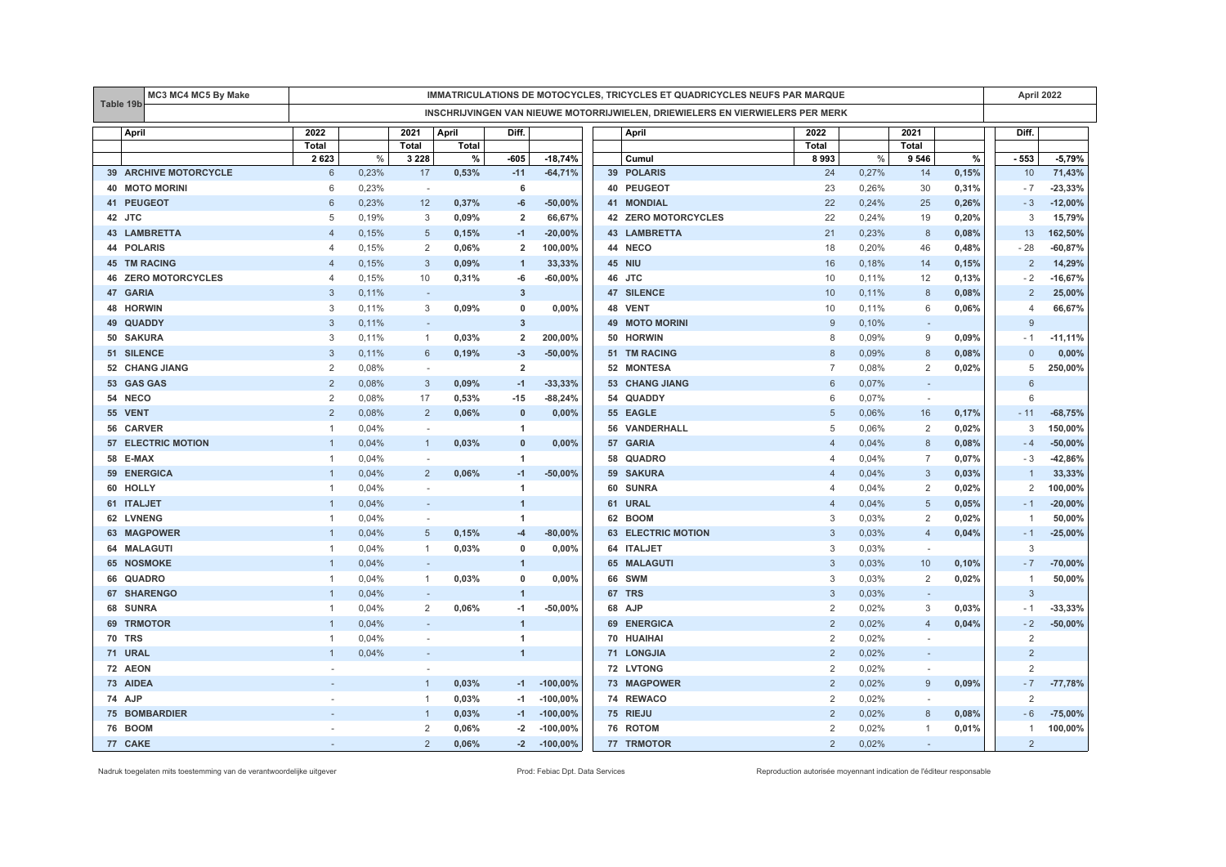|    | MC3 MC4 MC5 By Make     |                | IMMATRICULATIONS DE MOTOCYCLES, TRICYCLES ET QUADRICYCLES NEUFS PAR MARQUE |                |       |                         |            |  |                                                                               |                |       |                          |       |                | April 2022 |  |  |
|----|-------------------------|----------------|----------------------------------------------------------------------------|----------------|-------|-------------------------|------------|--|-------------------------------------------------------------------------------|----------------|-------|--------------------------|-------|----------------|------------|--|--|
|    | Table 19b               |                |                                                                            |                |       |                         |            |  | INSCHRIJVINGEN VAN NIEUWE MOTORRIJWIELEN, DRIEWIELERS EN VIERWIELERS PER MERK |                |       |                          |       |                |            |  |  |
|    | <b>April</b>            | 2022           |                                                                            | 2021           | April | Diff.                   |            |  | April                                                                         | 2022           |       | 2021                     |       | Diff.          |            |  |  |
|    |                         | Total          |                                                                            | Total          | Total |                         |            |  |                                                                               | Total          |       | Total                    |       |                |            |  |  |
|    |                         | 2623           | $\%$                                                                       | 3 2 2 8        | %     | -605                    | $-18,74%$  |  | Cumul                                                                         | 8993           | $\%$  | 9 5 4 6                  | $\%$  | - 553          | $-5,79%$   |  |  |
|    | 39 ARCHIVE MOTORCYCLE   | 6              | 0,23%                                                                      | 17             | 0,53% | $-11$                   | $-64,71%$  |  | 39 POLARIS                                                                    | 24             | 0,27% | 14                       | 0,15% | 10             | 71,43%     |  |  |
|    | <b>40 MOTO MORINI</b>   | 6              | 0,23%                                                                      | $\sim$         |       | 6                       |            |  | 40 PEUGEOT                                                                    | 23             | 0,26% | 30                       | 0,31% | $-7$           | $-23,33%$  |  |  |
|    | 41 PEUGEOT              | 6              | 0,23%                                                                      | 12             | 0,37% | -6                      | $-50,00%$  |  | <b>41 MONDIAL</b>                                                             | 22             | 0,24% | 25                       | 0,26% | $-3$           | $-12,00%$  |  |  |
| 42 | JTC                     | 5              | 0,19%                                                                      | 3              | 0,09% | $\overline{2}$          | 66,67%     |  | 42 ZERO MOTORCYCLES                                                           | 22             | 0,24% | 19                       | 0,20% | 3              | 15,79%     |  |  |
|    | <b>43 LAMBRETTA</b>     | $\Delta$       | 0,15%                                                                      | 5              | 0,15% | $-1$                    | $-20,00%$  |  | <b>43 LAMBRETTA</b>                                                           | 21             | 0,23% | 8                        | 0,08% | 13             | 162,50%    |  |  |
|    | 44 POLARIS              | 4              | 0,15%                                                                      | 2              | 0,06% | $\overline{2}$          | 100,00%    |  | 44 NECO                                                                       | 18             | 0,20% | 46                       | 0,48% | $-28$          | $-60,87%$  |  |  |
|    | <b>45 TM RACING</b>     | $\overline{4}$ | 0,15%                                                                      | 3              | 0,09% | $\overline{1}$          | 33,33%     |  | 45 NIU                                                                        | 16             | 0,18% | 14                       | 0,15% | $\overline{2}$ | 14,29%     |  |  |
| 46 | <b>ZERO MOTORCYCLES</b> | 4              | 0,15%                                                                      | 10             | 0,31% | -6                      | $-60,00%$  |  | 46 JTC                                                                        | 10             | 0,11% | 12                       | 0,13% | $-2$           | $-16,67%$  |  |  |
| 47 | <b>GARIA</b>            | 3              | 0,11%                                                                      | $\sim$         |       | $\overline{\mathbf{3}}$ |            |  | 47 SILENCE                                                                    | 10             | 0,11% | 8                        | 0,08% | 2              | 25,00%     |  |  |
| 48 | <b>HORWIN</b>           | 3              | 0,11%                                                                      | 3              | 0,09% | 0                       | 0,00%      |  | 48 VENT                                                                       | 10             | 0,11% | 6                        | 0,06% | $\overline{4}$ | 66,67%     |  |  |
| 49 | <b>QUADDY</b>           | 3              | 0,11%                                                                      | $\sim$         |       | $\overline{3}$          |            |  | <b>49 MOTO MORINI</b>                                                         | 9              | 0,10% | $\sim$                   |       | 9              |            |  |  |
|    | 50 SAKURA               | 3              | 0,11%                                                                      | 1              | 0,03% | $\overline{2}$          | 200,00%    |  | 50 HORWIN                                                                     | 8              | 0,09% | 9                        | 0,09% | $-1$           | $-11,11%$  |  |  |
|    | 51 SILENCE              | 3              | 0,11%                                                                      | 6              | 0,19% | $-3$                    | $-50,00%$  |  | 51 TM RACING                                                                  | 8              | 0,09% | 8                        | 0,08% | $\Omega$       | 0,00%      |  |  |
|    | 52 CHANG JIANG          | $\overline{2}$ | 0,08%                                                                      | $\sim$         |       | $\overline{2}$          |            |  | 52 MONTESA                                                                    | $\overline{7}$ | 0,08% | 2                        | 0,02% | 5              | 250,00%    |  |  |
|    | 53 GAS GAS              | $\overline{2}$ | 0,08%                                                                      | 3              | 0,09% | $-1$                    | $-33,33%$  |  | 53 CHANG JIANG                                                                | 6              | 0.07% | $\overline{\phantom{a}}$ |       | 6              |            |  |  |
|    | 54 NECO                 | $\overline{2}$ | 0,08%                                                                      | 17             | 0,53% | $-15$                   | $-88,24%$  |  | 54 QUADDY                                                                     | 6              | 0,07% | $\overline{\phantom{a}}$ |       | 6              |            |  |  |
|    | 55 VENT                 | $\overline{2}$ | 0,08%                                                                      | $\overline{2}$ | 0,06% | $\mathbf{0}$            | 0,00%      |  | 55 EAGLE                                                                      | 5              | 0,06% | 16                       | 0,17% | $-11$          | $-68,75%$  |  |  |
|    | 56 CARVER               | $\mathbf{1}$   | 0,04%                                                                      | $\sim$         |       | $\overline{1}$          |            |  | 56 VANDERHALL                                                                 | 5              | 0,06% | $\overline{2}$           | 0,02% | 3              | 150,00%    |  |  |
| 57 | <b>ELECTRIC MOTION</b>  | $\mathbf{1}$   | 0,04%                                                                      | $\mathbf{1}$   | 0,03% | $\mathbf 0$             | 0,00%      |  | 57 GARIA                                                                      | $\overline{4}$ | 0,04% | 8                        | 0,08% | $-4$           | $-50,00%$  |  |  |
|    | 58 E-MAX                | -1             | 0,04%                                                                      | $\sim$         |       | $\overline{1}$          |            |  | 58 QUADRO                                                                     | $\overline{4}$ | 0,04% | $\overline{7}$           | 0,07% | $-3$           | $-42,86%$  |  |  |
|    | 59 ENERGICA             |                | 0,04%                                                                      | $\overline{2}$ | 0,06% | $-1$                    | $-50,00%$  |  | 59 SAKURA                                                                     | $\overline{4}$ | 0,04% | $\sqrt{3}$               | 0,03% |                | 33,33%     |  |  |
| 60 | <b>HOLLY</b>            | $\mathbf{1}$   | 0,04%                                                                      | ÷.             |       | $\blacktriangleleft$    |            |  | 60 SUNRA                                                                      | $\overline{4}$ | 0,04% | 2                        | 0,02% | 2              | 100,00%    |  |  |
|    | 61 ITALJET              | -1             | 0,04%                                                                      |                |       | $\overline{1}$          |            |  | 61 URAL                                                                       | $\overline{4}$ | 0,04% | 5                        | 0,05% | - 1            | $-20,00%$  |  |  |
|    | 62 LVNENG               | -1             | 0,04%                                                                      | ÷.             |       | $\mathbf{1}$            |            |  | 62 BOOM                                                                       | 3              | 0,03% | 2                        | 0,02% | -1             | 50,00%     |  |  |
|    | 63 MAGPOWER             | 1              | 0,04%                                                                      | 5              | 0,15% | $-4$                    | $-80,00%$  |  | <b>63 ELECTRIC MOTION</b>                                                     | 3              | 0,03% | $\overline{4}$           | 0,04% | $-1$           | $-25,00%$  |  |  |
|    | 64 MALAGUTI             | $\mathbf{1}$   | 0,04%                                                                      | $\mathbf{1}$   | 0,03% | $\mathbf 0$             | 0,00%      |  | 64 ITALJET                                                                    | 3              | 0,03% | $\sim$                   |       | 3              |            |  |  |
|    | <b>65 NOSMOKE</b>       | $\overline{1}$ | 0.04%                                                                      | $\sim$         |       | $\overline{1}$          |            |  | 65 MALAGUTI                                                                   | 3              | 0.03% | 10                       | 0,10% | $-7$           | $-70,00%$  |  |  |
|    | 66 QUADRO               | 1              | 0,04%                                                                      | $\mathbf{1}$   | 0,03% | 0                       | 0,00%      |  | <b>66 SWM</b>                                                                 | 3              | 0,03% | 2                        | 0,02% | $\mathbf{1}$   | 50,00%     |  |  |
| 67 | <b>SHARENGO</b>         | -1             | 0,04%                                                                      | $\sim$         |       | $\overline{1}$          |            |  | 67 TRS                                                                        | 3              | 0,03% | $\overline{\phantom{a}}$ |       | 3              |            |  |  |
| 68 | <b>SUNRA</b>            | $\mathbf{1}$   | 0,04%                                                                      | 2              | 0,06% | $-1$                    | $-50,00%$  |  | 68 AJP                                                                        | $\overline{2}$ | 0,02% | 3                        | 0,03% | $-1$           | $-33,33%$  |  |  |
| 69 | <b>TRMOTOR</b>          |                | 0,04%                                                                      |                |       | $\overline{1}$          |            |  | 69 ENERGICA                                                                   | $\overline{2}$ | 0,02% | $\overline{4}$           | 0,04% | $-2$           | $-50,00%$  |  |  |
| 70 | <b>TRS</b>              | -1             | 0,04%                                                                      | $\sim$         |       | $\mathbf{1}$            |            |  | 70 HUAIHAI                                                                    | 2              | 0,02% | $\sim$                   |       | 2              |            |  |  |
|    | 71 URAL                 | -1             | 0,04%                                                                      | $\sim$         |       | $\mathbf{1}$            |            |  | 71 LONGJIA                                                                    | $\overline{2}$ | 0,02% | $\sim$                   |       | $\overline{2}$ |            |  |  |
|    | 72 AEON                 |                |                                                                            | $\sim$         |       |                         |            |  | 72 LVTONG                                                                     | $\overline{2}$ | 0,02% | $\sim$                   |       | $\overline{2}$ |            |  |  |
|    | 73 AIDEA                |                |                                                                            | 1              | 0,03% | $-1$                    | $-100,00%$ |  | 73 MAGPOWER                                                                   | $\overline{2}$ | 0,02% | 9                        | 0,09% | $-7$           | $-77,78%$  |  |  |
|    | 74 AJP                  |                |                                                                            | $\mathbf{1}$   | 0,03% | $-1$                    | $-100,00%$ |  | 74 REWACO                                                                     | 2              | 0,02% | $\overline{a}$           |       | 2              |            |  |  |
|    | <b>75 BOMBARDIER</b>    |                |                                                                            |                | 0,03% | $-1$                    | $-100,00%$ |  | 75 RIEJU                                                                      | $\overline{2}$ | 0,02% | 8                        | 0,08% | - 6            | $-75,00%$  |  |  |
|    | <b>76 BOOM</b>          |                |                                                                            | 2              | 0,06% | $-2$                    | $-100,00%$ |  | 76 ROTOM                                                                      | $\overline{2}$ | 0,02% | 1                        | 0,01% | $\mathbf{1}$   | 100,00%    |  |  |
|    | 77 CAKE                 |                |                                                                            | $\overline{2}$ | 0,06% | $-2$                    | $-100,00%$ |  | 77 TRMOTOR                                                                    | $\overline{2}$ | 0,02% | $\sim$                   |       | 2              |            |  |  |

Nadruk toegelaten mits toestemming van de verantwoordelijke uitgever entered enter enter enter a metaleur enter autorisée Prod: Febiac Dpt. Data Services Reproduction autorisée moyennant indication de l'éditeur responsable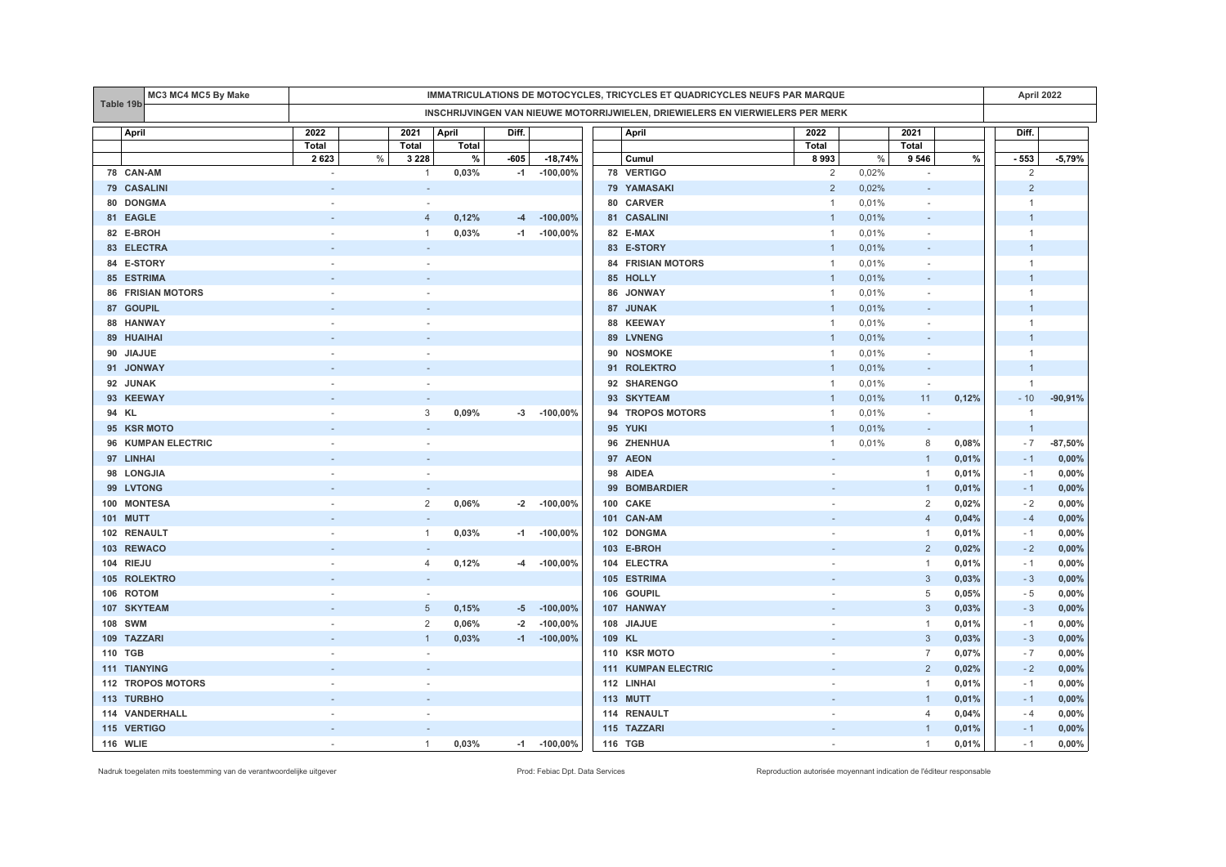|                 | <b>MC3 MC4 MC5 By Make</b> | IMMATRICULATIONS DE MOTOCYCLES, TRICYCLES ET QUADRICYCLES NEUFS PAR MARQUE |      |                          |              |        |             |        |                                                                               |                |       | April 2022               |       |                |           |
|-----------------|----------------------------|----------------------------------------------------------------------------|------|--------------------------|--------------|--------|-------------|--------|-------------------------------------------------------------------------------|----------------|-------|--------------------------|-------|----------------|-----------|
| Table 19b       |                            |                                                                            |      |                          |              |        |             |        | INSCHRIJVINGEN VAN NIEUWE MOTORRIJWIELEN, DRIEWIELERS EN VIERWIELERS PER MERK |                |       |                          |       |                |           |
| April           |                            | 2022                                                                       |      | 2021                     | April        | Diff.  |             |        | April                                                                         | 2022           |       | 2021                     |       | Diff.          |           |
|                 |                            | Total                                                                      |      | Total                    | <b>Total</b> |        |             |        |                                                                               | Total          |       | Total                    |       |                |           |
|                 |                            | 2623                                                                       | $\%$ | 3 2 2 8                  | $\%$         | $-605$ | $-18,74%$   |        | Cumul                                                                         | 8993           | $\%$  | 9 5 4 6                  | $\%$  | $-553$         | $-5,79%$  |
| 78 CAN-AM       |                            |                                                                            |      | $\mathbf{1}$             | 0,03%        | $-1$   | $-100,00%$  |        | 78 VERTIGO                                                                    | 2              | 0,02% | $\overline{\phantom{a}}$ |       | 2              |           |
| 79 CASALINI     |                            |                                                                            |      |                          |              |        |             |        | 79 YAMASAKI                                                                   | 2              | 0,02% |                          |       | $\overline{2}$ |           |
| 80 DONGMA       |                            |                                                                            |      |                          |              |        |             |        | 80 CARVER                                                                     | $\overline{1}$ | 0,01% | $\sim$                   |       | $\mathbf{1}$   |           |
| 81 EAGLE        |                            |                                                                            |      | $\overline{4}$           | 0,12%        | $-4$   | $-100,00%$  |        | 81 CASALINI                                                                   | $\mathbf{1}$   | 0,01% |                          |       | $\mathbf{1}$   |           |
| 82 E-BROH       |                            |                                                                            |      | 1                        | 0,03%        | $-1$   | $-100,00\%$ |        | 82 E-MAX                                                                      | $\overline{1}$ | 0,01% |                          |       | $\mathbf{1}$   |           |
| 83 ELECTRA      |                            |                                                                            |      | $\sim$                   |              |        |             |        | 83 E-STORY                                                                    | $\overline{1}$ | 0,01% | $\sim$                   |       | $\mathbf{1}$   |           |
| 84 E-STORY      |                            |                                                                            |      | ÷.                       |              |        |             |        | <b>84 FRISIAN MOTORS</b>                                                      | $\overline{1}$ | 0,01% | $\sim$                   |       | $\mathbf{1}$   |           |
| 85 ESTRIMA      |                            |                                                                            |      |                          |              |        |             |        | 85 HOLLY                                                                      | $\overline{1}$ | 0,01% |                          |       | $\mathbf{1}$   |           |
|                 | <b>86 FRISIAN MOTORS</b>   |                                                                            |      | $\overline{\phantom{a}}$ |              |        |             |        | 86 JONWAY                                                                     | $\overline{1}$ | 0,01% |                          |       | $\mathbf{1}$   |           |
| 87 GOUPIL       |                            |                                                                            |      |                          |              |        |             |        | 87 JUNAK                                                                      | $\mathbf{1}$   | 0,01% |                          |       | $\mathbf{1}$   |           |
| 88 HANWAY       |                            |                                                                            |      |                          |              |        |             |        | 88 KEEWAY                                                                     | $\overline{1}$ | 0,01% |                          |       | $\overline{1}$ |           |
| 89 HUAIHAI      |                            |                                                                            |      |                          |              |        |             |        | 89 LVNENG                                                                     | $\mathbf{1}$   | 0,01% |                          |       | $\mathbf{1}$   |           |
| 90 JIAJUE       |                            |                                                                            |      |                          |              |        |             |        | 90 NOSMOKE                                                                    | -1             | 0,01% | $\sim$                   |       | $\mathbf{1}$   |           |
| 91 JONWAY       |                            |                                                                            |      |                          |              |        |             |        | 91 ROLEKTRO                                                                   | $\overline{1}$ | 0,01% | $\sim$                   |       | $\overline{1}$ |           |
| 92 JUNAK        |                            |                                                                            |      |                          |              |        |             |        | 92 SHARENGO                                                                   | $\overline{1}$ | 0,01% | $\sim$                   |       | $\overline{1}$ |           |
| 93 KEEWAY       |                            |                                                                            |      |                          |              |        |             |        | 93 SKYTEAM                                                                    | $\overline{1}$ | 0,01% | 11                       | 0,12% | $-10$          | $-90,91%$ |
| 94 KL           |                            |                                                                            |      | 3                        | 0,09%        | $-3$   | $-100,00%$  |        | 94 TROPOS MOTORS                                                              | $\overline{1}$ | 0,01% | $\sim$                   |       | -1             |           |
|                 | 95 KSR MOTO                |                                                                            |      |                          |              |        |             |        | 95 YUKI                                                                       |                | 0,01% | $\overline{\phantom{a}}$ |       | $\overline{1}$ |           |
|                 | 96 KUMPAN ELECTRIC         |                                                                            |      |                          |              |        |             |        | 96 ZHENHUA                                                                    | $\mathbf{1}$   | 0,01% | 8                        | 0,08% | $-7$           | $-87,50%$ |
| 97 LINHAI       |                            |                                                                            |      |                          |              |        |             |        | 97 AEON                                                                       |                |       | $\overline{1}$           | 0,01% | $-1$           | 0,00%     |
| 98 LONGJIA      |                            |                                                                            |      | $\overline{\phantom{a}}$ |              |        |             |        | 98 AIDEA                                                                      |                |       | 1                        | 0,01% | - 1            | 0,00%     |
| 99 LVTONG       |                            |                                                                            |      |                          |              |        |             |        | 99 BOMBARDIER                                                                 |                |       | $\mathbf{1}$             | 0,01% | $-1$           | 0,00%     |
| 100 MONTESA     |                            |                                                                            |      | $\overline{2}$           | 0,06%        | $-2$   | $-100,00\%$ |        | 100 CAKE                                                                      |                |       | 2                        | 0,02% | $-2$           | 0,00%     |
| <b>101 MUTT</b> |                            |                                                                            |      | $\overline{\phantom{a}}$ |              |        |             |        | 101 CAN-AM                                                                    |                |       | $\overline{4}$           | 0,04% | $-4$           | 0,00%     |
| 102 RENAULT     |                            |                                                                            |      | $\mathbf{1}$             | 0,03%        | $-1$   | $-100,00%$  |        | 102 DONGMA                                                                    |                |       | $\mathbf{1}$             | 0,01% | $-1$           | 0,00%     |
| 103 REWACO      |                            |                                                                            |      |                          |              |        |             |        | 103 E-BROH                                                                    |                |       | $\overline{2}$           | 0,02% | $-2$           | 0,00%     |
| 104 RIEJU       |                            |                                                                            |      | $\overline{4}$           | 0,12%        | -4     | $-100,00\%$ |        | 104 ELECTRA                                                                   |                |       | $\mathbf{1}$             | 0,01% | $-1$           | 0,00%     |
| 105 ROLEKTRO    |                            |                                                                            |      | $\sim$                   |              |        |             |        | 105 ESTRIMA                                                                   |                |       | 3                        | 0,03% | $-3$           | 0,00%     |
| 106 ROTOM       |                            |                                                                            |      | $\sim$                   |              |        |             |        | 106 GOUPIL                                                                    |                |       | 5                        | 0,05% | $-5$           | 0,00%     |
| 107 SKYTEAM     |                            |                                                                            |      | 5                        | 0,15%        | -5     | $-100,00%$  |        | 107 HANWAY                                                                    |                |       | $\mathbf{3}$             | 0,03% | $-3$           | 0,00%     |
| 108 SWM         |                            |                                                                            |      | $\overline{2}$           | 0,06%        | $-2$   | $-100,00%$  |        | 108 JIAJUE                                                                    |                |       | $\mathbf{1}$             | 0,01% | $-1$           | 0,00%     |
| 109 TAZZARI     |                            |                                                                            |      | $\overline{1}$           | 0,03%        | $-1$   | $-100,00\%$ | 109 KL |                                                                               |                |       | 3                        | 0,03% | $-3$           | 0,00%     |
| 110 TGB         |                            |                                                                            |      |                          |              |        |             |        | 110 KSR MOTO                                                                  |                |       | $\overline{7}$           | 0,07% | $-7$           | 0,00%     |
| 111 TIANYING    |                            |                                                                            |      |                          |              |        |             |        | <b>111 KUMPAN ELECTRIC</b>                                                    |                |       | $\overline{2}$           | 0,02% | $-2$           | 0,00%     |
|                 | 112 TROPOS MOTORS          |                                                                            |      |                          |              |        |             |        | 112 LINHAI                                                                    |                |       | $\mathbf{1}$             | 0,01% | $-1$           | 0,00%     |
| 113 TURBHO      |                            |                                                                            |      |                          |              |        |             |        | 113 MUTT                                                                      |                |       | $\mathbf{1}$             | 0,01% | $-1$           | 0,00%     |
|                 | 114 VANDERHALL             |                                                                            |      |                          |              |        |             |        | 114 RENAULT                                                                   |                |       | 4                        | 0,04% | $-4$           | 0,00%     |
| 115 VERTIGO     |                            |                                                                            |      |                          |              |        |             |        | 115 TAZZARI                                                                   |                |       | $\overline{1}$           | 0,01% | $-1$           | 0,00%     |
| <b>116 WLIE</b> |                            |                                                                            |      | $\mathbf{1}$             | 0,03%        | $-1$   | $-100,00\%$ |        | 116 TGB                                                                       |                |       | $\mathbf{1}$             | 0,01% | $-1$           | 0,00%     |

Nadruk toegelaten mits toestemming van de verantwoordelijke uitgever entered enter enter enter a metaleur enter autorisée Prod: Febiac Dpt. Data Services Reproduction autorisée moyennant indication de l'éditeur responsable